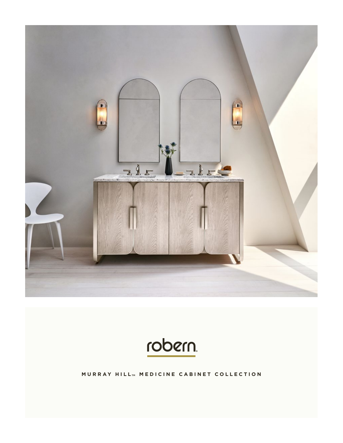



**MURRAY HILL™ MEDICINE CABINET COLLECTION**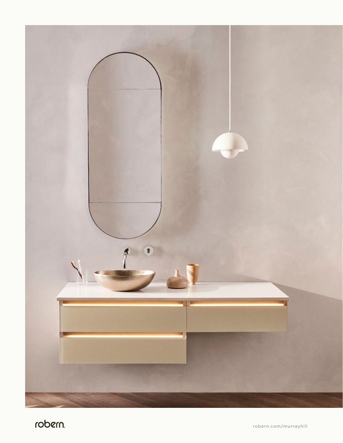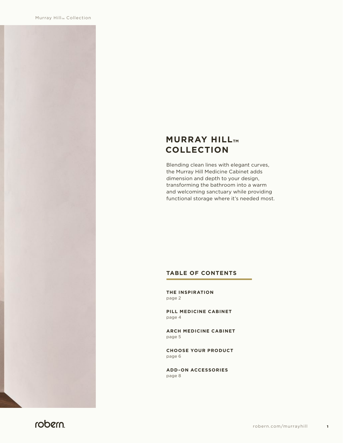

Blending clean lines with elegant curves, the Murray Hill Medicine Cabinet adds dimension and depth to your design, transforming the bathroom into a warm and welcoming sanctuary while providing functional storage where it's needed most.

#### **TABLE OF CONTENTS**

**THE INSPIRATION**  page 2

**PILL MEDICINE CABINET** page 4

**ARCH MEDICINE CABINET** page 5

**CHOOSE YOUR PRODUCT** page 6

**ADD-ON ACCESSORIES** page 8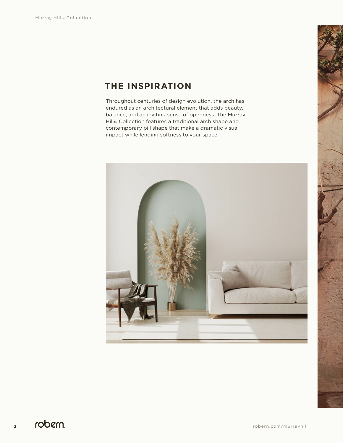### **THE INSPIRATION**

Throughout centuries of design evolution, the arch has endured as an architectural element that adds beauty, balance, and an inviting sense of openness. The Murray Hill™ Collection features a traditional arch shape and contemporary pill shape that make a dramatic visual impact while lending softness to your space.

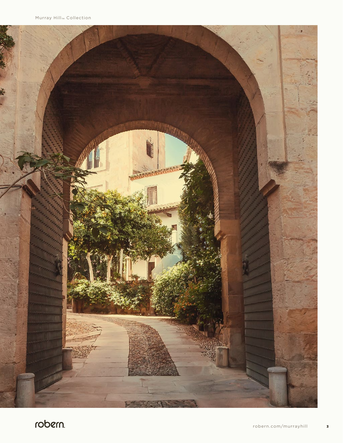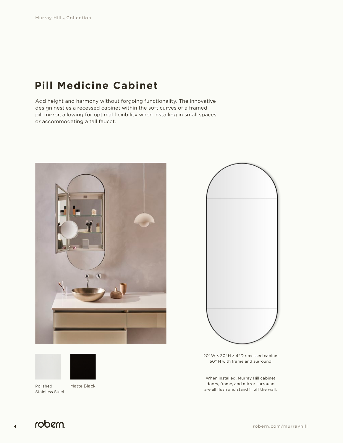## **Pill Medicine Cabinet**

Add height and harmony without forgoing functionality. The innovative design nestles a recessed cabinet within the soft curves of a framed pill mirror, allowing for optimal flexibility when installing in small spaces or accommodating a tall faucet.





Stainless Steel

Polished Matte Black



 20" W × 30" H × 4" D recessed cabinet 50" H with frame and surround

When installed, Murray Hill cabinet doors, frame, and mirror surround are all flush and stand 1" off the wall.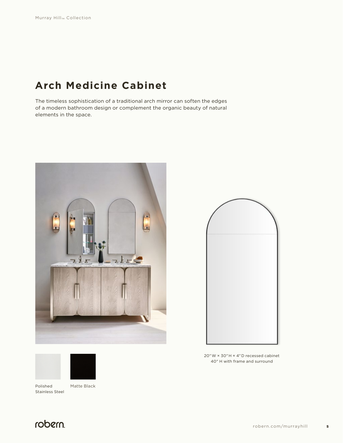## **Arch Medicine Cabinet**

The timeless sophistication of a traditional arch mirror can soften the edges of a modern bathroom design or complement the organic beauty of natural elements in the space.





20" W × 30" H × 4" D recessed cabinet 40" H with frame and surround



Polished Matte Black Stainless Steel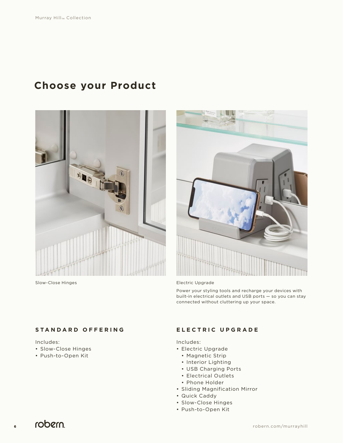## **Choose your Product**



Slow-Close Hinges



#### Electric Upgrade

Power your styling tools and recharge your devices with built-in electrical outlets and USB ports — so you can stay connected without cluttering up your space.

### **STANDARD OFFERING**

#### Includes:

- Slow-Close Hinges
- Push-to-Open Kit

### **ELECTRIC UPGRADE**

Includes:

- Electric Upgrade
	- Magnetic Strip
	- Interior Lighting
	- USB Charging Ports
	- Electrical Outlets
	- Phone Holder
- Sliding Magnification Mirror
- Quick Caddy
- Slow-Close Hinges
- Push-to-Open Kit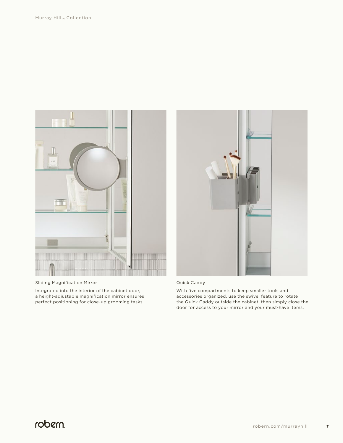

Sliding Magnification Mirror

Integrated into the interior of the cabinet door, a height-adjustable magnification mirror ensures perfect positioning for close-up grooming tasks.



#### Quick Caddy

With five compartments to keep smaller tools and accessories organized, use the swivel feature to rotate the Quick Caddy outside the cabinet, then simply close the door for access to your mirror and your must-have items.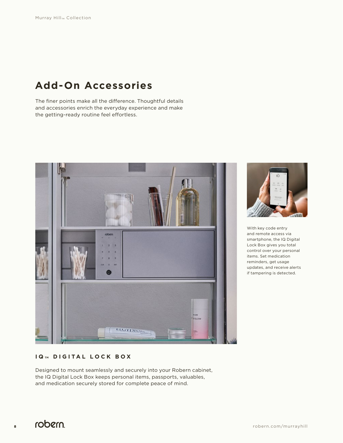### **Add-On Accessories**

The finer points make all the difference. Thoughtful details and accessories enrich the everyday experience and make the getting-ready routine feel effortless.





With key code entry and remote access via smartphone, the IQ Digital Lock Box gives you total control over your personal items. Set medication reminders, get usage updates, and receive alerts if tampering is detected.

#### **I Q ™ DIGITAL LOCK BOX**

Designed to mount seamlessly and securely into your Robern cabinet, the IQ Digital Lock Box keeps personal items, passports, valuables, and medication securely stored for complete peace of mind.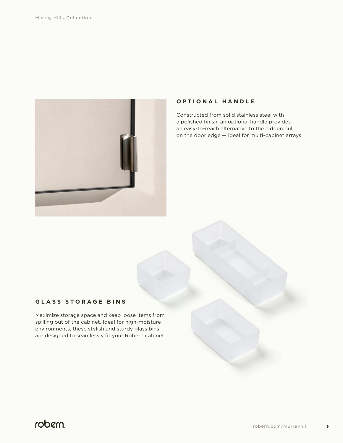

#### **OPTIONAL HANDLE**

Constructed from solid stainless steel with a polished finish, an optional handle provides an easy-to-reach alternative to the hidden pull on the door edge — ideal for multi-cabinet arrays.

### **GLASS STORAGE BINS**

Maximize storage space and keep loose items from spilling out of the cabinet. Ideal for high-moisture environments, these stylish and sturdy glass bins are designed to seamlessly fit your Robern cabinet.